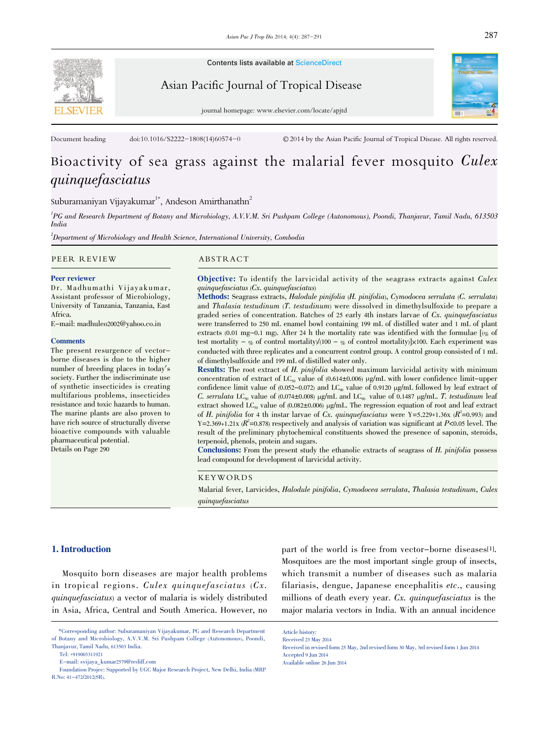

Contents lists available at ScienceDirect

Asian Pacific Journal of Tropical Disease



journal homepage: www.elsevier.com/locate/apjtd

Document heading doi:10.1016/S2222-1808(14)60574-0 © 2014 by the Asian Pacific Journal of Tropical Disease. All rights reserved.

# Bioactivity of sea grass against the malarial fever mosquito Culex quinquefasciatus

Suburamaniyan Vijayakumar $^{\rm 1*}$ , Andeson Amirthanathn $^{\rm 2}$ 

1 PG and Research Department of Botany and Microbiology, A.V.V.M. Sri Pushpam College (Autonomous), Poondi, Thanjavur, Tamil Nadu, 613503 India

 $^2$ Department of Microbiology and Health Science, International University, Combodia

#### PEER REVIEW ABSTRACT

# Peer reviewer

Dr. Madhumathi Vijayakumar, Assistant professor of Microbiology, University of Tanzania, Tanzania, East Africa.

E-mail: madhuleo2002@yahoo.co.in

#### **Comments**

The present resurgence of vectorborne diseases is due to the higher number of breeding places in today's society. Further the indiscriminate use of synthetic insecticides is creating multifarious problems, insecticides resistance and toxic hazards to human. The marine plants are also proven to have rich source of structurally diverse bioactive compounds with valuable pharmaceutical potential. Details on Page 290

**Objective:** To identify the larvicidal activity of the seagrass extracts against  $Culer$ quinquefasciatus (Cx. quinquefasciatus)

Methods: Seagrass extracts, Halodule pinifolia (H. pinifolia), Cymodocea serrulata (C. serrulata) and Thalasia testudinum (T. testudinum) were dissolved in dimethylsulfoxide to prepare a graded series of concentration. Batches of 25 early 4th instars larvae of  $Cx$ , quinquefasciatus were transferred to 250 mL enamel bowl containing 199 mL of distilled water and 1 mL of plant extracts (0.01 mg-0.1 mg). After 24 h the mortality rate was identified with the formulae  $\left[\phi_{\alpha}\right]$  of test mortality –  $\%$  of control mortality)/(100 –  $\%$  of control mortality)]×100. Each experiment was conducted with three replicates and a concurrent control group. A control group consisted of 1 mL of dimethylsulfoxide and 199 mL of distilled water only.

Results: The root extract of H. pinifolia showed maximum larvicidal activity with minimum concentration of extract of  $LC_{50}$  value of (0.614±0.006) µg/mL with lower confidence limit-upper confidence limit value of  $(0.052-0.072)$  and LC<sub>90</sub> value of 0.9120  $\mu$ g/mL followed by leaf extract of C. serrulata LC<sub>50</sub> value of  $(0.074 \pm 0.008)$  µg/mL and LC<sub>90</sub> value of 0.1487 µg/mL. T. testudinum leaf extract showed LC<sub>50</sub> value of  $(0.082 \pm 0.006)$  µg/mL. The regression equation of root and leaf extract of H. pinifolia for 4 th instar larvae of Cx. quinque fasciatus were Y=5.229+1.36x ( $R^2$ =0.993) and Y=2.369+1.21x ( $R^2$ =0.878) respectively and analysis of variation was significant at P<0.05 level. The result of the preliminary phytochemical constituents showed the presence of saponin, steroids, terpenoid, phenols, protein and sugars.

Conclusions: From the present study the ethanolic extracts of seagrass of H. pinifolia possess lead compound for development of larvicidal activity.

# KEYWORDS

Malarial fever, Larvicides, Halodule pinifolia, Cymodocea serrulata, Thalasia testudinum, Culex quinquefasciatus

#### 1. Introduction

Mosquito born diseases are major health problems in tropical regions. Culex quinquefasciatus (Cx. quinquefasciatus) a vector of malaria is widely distributed in Asia, Africa, Central and South America. However, no

part of the world is free from vector-borne diseases[1]. Mosquitoes are the most important single group of insects, which transmit a number of diseases such as malaria filariasis, dengue, Japanese encephalitis etc., causing millions of death every year. Cx. quinquefasciatus is the major malaria vectors in India. With an annual incidence

<sup>\*</sup>Corresponding author: Suburamaniyan Vijayakumar, PG and Research Department of Botany and Microbiology, A.V.V.M. Sri Pushpam College (Autonomous), Poondi, Thanjavur, Tamil Nadu, 613503 India.

Tel: +919003311921

E-mail: svijaya\_kumar2579@rediff.com

Foundation Projec: Supported by UGC Major Research Project, New Delhi, India (MRP R.No: 41-472/2012(SR).

Article history:

Received 23 May 2014

Received in revised form 25 May, 2nd revised form 30 May, 3rd revised form 1 Jun 2014 Accepted 9 Jun 2014 Available online 26 Jun 2014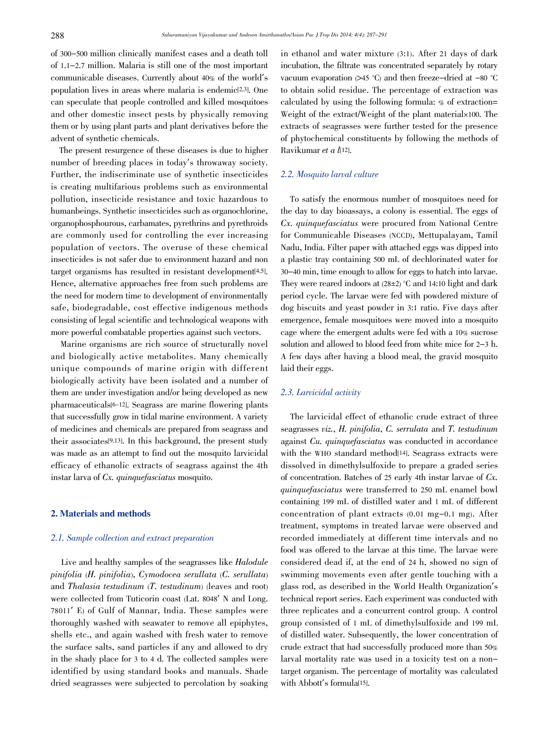of 300-500 million clinically manifest cases and a death toll of 1.1-2.7 million. Malaria is still one of the most important communicable diseases. Currently about 40% of the world's population lives in areas where malaria is endemic[2,3]. One can speculate that people controlled and killed mosquitoes and other domestic insect pests by physically removing them or by using plant parts and plant derivatives before the advent of synthetic chemicals.

The present resurgence of these diseases is due to higher number of breeding places in today's throwaway society. Further, the indiscriminate use of synthetic insecticides is creating multifarious problems such as environmental pollution, insecticide resistance and toxic hazardous to humanbeings. Synthetic insecticides such as organochlorine, organophosphourous, carbamates, pyrethrins and pyrethroids are commonly used for controlling the ever increasing population of vectors. The overuse of these chemical insecticides is not safer due to environment hazard and non target organisms has resulted in resistant development[4,5]. Hence, alternative approaches free from such problems are the need for modern time to development of environmentally safe, biodegradable, cost effective indigenous methods consisting of legal scientific and technological weapons with more powerful combatable properties against such vectors.

Marine organisms are rich source of structurally novel and biologically active metabolites. Many chemically unique compounds of marine origin with different biologically activity have been isolated and a number of them are under investigation and/or being developed as new pharmaceuticals[6-12]. Seagrass are marine flowering plants that successfully grow in tidal marine environment. A variety of medicines and chemicals are prepared from seagrass and their associates[9,13]. In this background, the present study was made as an attempt to find out the mosquito larvicidal efficacy of ethanolic extracts of seagrass against the 4th instar larva of Cx. quinquefasciatus mosquito.

# 2. Materials and methods

# 2.1. Sample collection and extract preparation

Live and healthy samples of the seagrasses like Halodule pinifolia (H. pinifolia), Cymodocea serullata (C. serullata) and Thalasia testudinum (T. testudinum) (leaves and root) were collected from Tuticorin coast (Lat. <sup>8048</sup>' N and Long. <sup>78011</sup>' E) of Gulf of Mannar, India. These samples were thoroughly washed with seawater to remove all epiphytes, shells etc., and again washed with fresh water to remove the surface salts, sand particles if any and allowed to dry in the shady place for 3 to 4 d. The collected samples were identified by using standard books and manuals. Shade dried seagrasses were subjected to percolation by soaking

in ethanol and water mixture (3:1). After 21 days of dark incubation, the filtrate was concentrated separately by rotary vacuum evaporation (>45 °C) and then freeze-dried at -80 °C to obtain solid residue. The percentage of extraction was calculated by using the following formula: % of extraction= Weight of the extract/Weight of the plant material×100. The extracts of seagrasses were further tested for the presence of phytochemical constituents by following the methods of Ravikumar et a l[12].

# 2.2. Mosquito larval culture

To satisfy the enormous number of mosquitoes need for the day to day bioassays, a colony is essential. The eggs of Cx. quinquefasciatus were procured from National Centre for Communicable Diseases (NCCD), Mettupalayam, Tamil Nadu, India. Filter paper with attached eggs was dipped into a plastic tray containing 500 mL of dechlorinated water for <sup>30</sup>-<sup>40</sup> min, time enough to allow for eggs to hatch into larvae. They were reared indoors at  $(28\pm2)$  °C and 14:10 light and dark period cycle. The larvae were fed with powdered mixture of dog biscuits and yeast powder in 3:1 ratio. Five days after emergence, female mosquitoes were moved into a mosquito cage where the emergent adults were fed with a 10% sucrose solution and allowed to blood feed from white mice for <sup>2</sup>-<sup>3</sup> h. A few days after having a blood meal, the gravid mosquito laid their eggs.

# 2.3. Larvicidal activity

The larvicidal effect of ethanolic crude extract of three seagrasses viz., H. pinifolia, C. serrulata and T. testudinum against Cu. quinquefasciatus was conducted in accordance with the WHO standard method<sup>[14]</sup>. Seagrass extracts were dissolved in dimethylsulfoxide to prepare a graded series of concentration. Batches of <sup>25</sup> early 4th instar larvae of Cx. quinquefasciatus were transferred to <sup>250</sup> mL enamel bowl containing 199 mL of distilled water and 1 mL of different concentration of plant extracts (0.01 mg-0.1 mg). After treatment, symptoms in treated larvae were observed and recorded immediately at different time intervals and no food was offered to the larvae at this time. The larvae were considered dead if, at the end of 24 h, showed no sign of swimming movements even after gentle touching with a glass rod, as described in the World Health Organization's technical report series. Each experiment was conducted with three replicates and a concurrent control group. A control group consisted of 1 mL of dimethylsulfoxide and 199 mL of distilled water. Subsequently, the lower concentration of crude extract that had successfully produced more than 50% larval mortality rate was used in a toxicity test on a nontarget organism. The percentage of mortality was calculated with Abbott's formula<sup>[15]</sup>.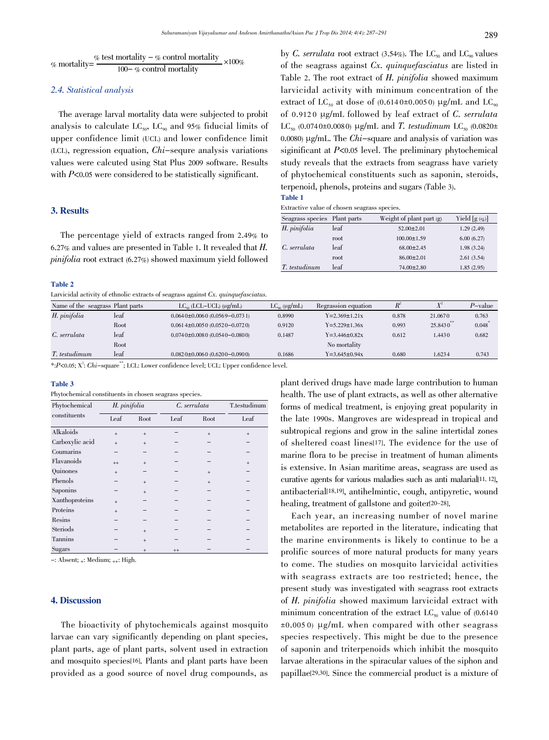$$
\% \text{ mortality} = \frac{\% \text{ test mortality} - \% \text{ control mortality}}{100 - \% \text{ control mortality}} \times 100\%
$$

# 2.4. Statistical analysis

The average larval mortality data were subjected to probit analysis to calculate  $LC_{50}$ ,  $LC_{90}$  and 95% fiducial limits of upper confidence limit (UCL) and lower confidence limit (LCL), regression equation, Chi-sequre analysis variations values were calcuted using Stat Plus 2009 software. Results with  $P<0.05$  were considered to be statistically significant.

# 3. Results

The percentage yield of extracts ranged from 2.49% to 6.27% and values are presented in Table 1. It revealed that H. pinifolia root extract (6.27%) showed maximum yield followed

#### Table 2

Larvicidal activity of ethnolic extracts of seagrass against  $Cx$ , quinquefasciatus.

by C. serrulata root extract (3.54%). The  $LC_{50}$  and  $LC_{90}$  values of the seagrass against Cx. quinquefasciatus are listed in Table 2. The root extract of H. pinifolia showed maximum larvicidal activity with minimum concentration of the extract of LC<sub>50</sub> at dose of (0.6140±0.0050) µg/mL and LC<sub>90</sub> of 0.9120  $\mu$ g/mL followed by leaf extract of C. serrulata LC<sub>50</sub> (0.074 0± 0.008 0) µg/mL and T. testudimum LC<sub>50</sub> (0.0820±) 0.0080)  $\mu$ g/mL. The *Chi*-square and analysis of variation was siginificant at P<0.05 level. The preliminary phytochemical study reveals that the extracts from seagrass have variety of phytochemical constituents such as saponin, steroids, terpenoid, phenols, proteins and sugars (Table 3). Table 1

| ı<br>$\sim$<br>۰, |  |  |
|-------------------|--|--|
|-------------------|--|--|

Extractive value of chosen seagrass species.

| Seagrass species Plant parts |      | Weight of plant part $(g)$ | Yield $[g(\mathscr{G})]$ |
|------------------------------|------|----------------------------|--------------------------|
| H. pinifolia                 | leaf | $52.00 \pm 2.01$           | 1.29(2.49)               |
|                              | root | $100.00 \pm 1.59$          | 6.00(6.27)               |
| C. serrulata                 | leaf | $68.00 \pm 2.45$           | 1.98(3.24)               |
|                              | root | $86.00 \pm 2.01$           | 2.61(3.54)               |
| T. testudinum                | leaf | $74.00 \pm 2.80$           | 1.85(2.95)               |

| Name of the seagrass Plant parts |                      | $LC_{50}$ (LCL-UCL) ( $\mu$ g/mL)    | $LC_{\infty}$ (µg/mL) | Regrassion equation   | $R^{\circ}$ |         | $P$ -value |
|----------------------------------|----------------------|--------------------------------------|-----------------------|-----------------------|-------------|---------|------------|
| H. pinifolia                     | leaf                 | $0.0640 \pm 0.0060(0.0569 - 0.0731)$ | 0.8990                | $Y=2.369\pm1.21x$     | 0.878       | 21,0670 | 0.763      |
|                                  | Root                 | $0.0614 \pm 0.0050(0.0520 - 0.0720)$ | 0.9120                | $Y = 5.229 \pm 1.36x$ | 0.993       | 25,8430 | 0.048      |
| C. serrulata                     | leaf                 | $0.0740 \pm 0.0080(0.0540 - 0.0800)$ | 0.1487                | $Y = 3.446 \pm 0.82x$ | 0.612       | 1.4430  | 0.682      |
|                                  | Root                 |                                      |                       | No mortality          |             |         |            |
| T. testudimum                    | leaf                 | $0.0820 \pm 0.0060(0.6200 - 0.0900)$ | 0.1686                | $Y = 3.645 \pm 0.94x$ | 0.680       | 1.6234  | 0.743      |
|                                  | <b>State of Con-</b> |                                      |                       |                       |             |         |            |

\*:P<0.05; X<sup>2</sup>: Chi-square"'; LCL: Lower confidence level; UCL: Upper confidence level.

#### Table 3

| Phytochemical constituents in chosen seagrass species. |  |  |  |  |  |
|--------------------------------------------------------|--|--|--|--|--|
|--------------------------------------------------------|--|--|--|--|--|

| Phytochemical   |         | H. pinifolia |         | C. serrulata |      |  |
|-----------------|---------|--------------|---------|--------------|------|--|
| constituents    | Leaf    | Root         | Leaf    | Root         | Leaf |  |
| Alkaloids       | $+$     | $+$          |         | $+$          | $+$  |  |
| Carboxylic acid | $+$     | $+$          |         |              |      |  |
| Coumarins       |         |              |         |              |      |  |
| Flavanoids      | $^{++}$ | $+$          |         |              | $+$  |  |
| Quinones        | $^{+}$  |              |         | $+$          |      |  |
| Phenols         |         | $+$          |         | $+$          |      |  |
| Saponins        |         | $+$          |         |              |      |  |
| Xanthoproteins  | $+$     |              |         |              |      |  |
| Proteins        | $^{+}$  |              |         |              |      |  |
| Resins          |         |              |         |              |      |  |
| Steriods        |         | $+$          |         |              |      |  |
| Tannins         |         | $+$          |         |              |      |  |
| Sugars          |         |              | $^{++}$ |              |      |  |

 $-$ : Absent;  $+$ : Medium;  $++$ : High.

# 4. Discussion

The bioactivity of phytochemicals against mosquito larvae can vary significantly depending on plant species, plant parts, age of plant parts, solvent used in extraction and mosquito species[16]. Plants and plant parts have been provided as a good source of novel drug compounds, as

plant derived drugs have made large contribution to human health. The use of plant extracts, as well as other alternative forms of medical treatment, is enjoying great popularity in the late 1990s. Mangroves are widespread in tropical and subtropical regions and grow in the saline intertidal zones of sheltered coast lines[17]. The evidence for the use of marine flora to be precise in treatment of human aliments is extensive. In Asian maritime areas, seagrass are used as curative agents for various maladies such as anti malarial[11, 12], antibacterial[18,19], antihelmintic, cough, antipyretic, wound healing, treatment of gallstone and goiter<sup>[20-28]</sup>.

Each year, an increasing number of novel marine metabolites are reported in the literature, indicating that the marine environments is likely to continue to be a prolific sources of more natural products for many years to come. The studies on mosquito larvicidal activities with seagrass extracts are too restricted; hence, the present study was investigated with seagrass root extracts of H. pinifolia showed maximum larvicidal extract with minimum concentration of the extract  $LC_{50}$  value of (0.6140)  $\pm 0.005$  0)  $\mu$ g/mL when compared with other seagrass species respectively. This might be due to the presence of saponin and triterpenoids which inhibit the mosquito larvae alterations in the spiracular values of the siphon and papillae[29,30]. Since the commercial product is a mixture of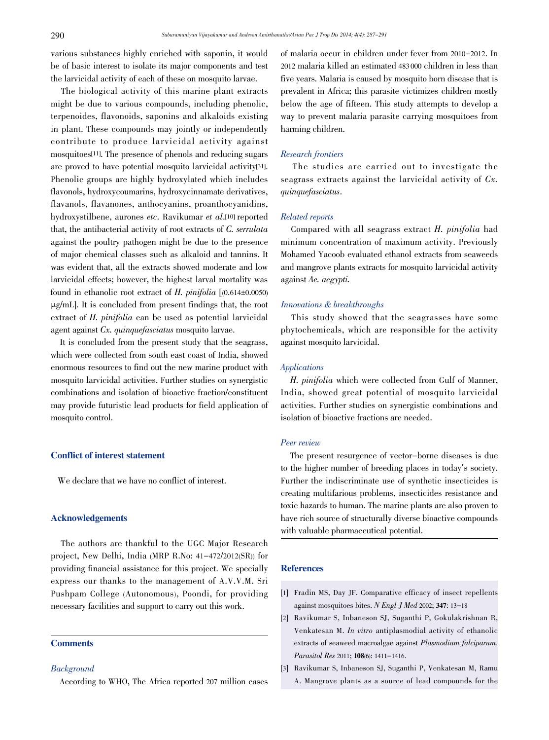various substances highly enriched with saponin, it would be of basic interest to isolate its major components and test the larvicidal activity of each of these on mosquito larvae.

The biological activity of this marine plant extracts might be due to various compounds, including phenolic, terpenoides, flavonoids, saponins and alkaloids existing in plant. These compounds may jointly or independently contribute to produce larvicidal activity against mosquitoes[11]. The presence of phenols and reducing sugars are proved to have potential mosquito larvicidal activity[31]. Phenolic groups are highly hydroxylated which includes flavonols, hydroxycoumarins, hydroxycinnamate derivatives, flavanols, flavanones, anthocyanins, proanthocyanidins, hydroxystilbene, aurones etc. Ravikumar et al.[10] reported that, the antibacterial activity of root extracts of C. serrulata against the poultry pathogen might be due to the presence of major chemical classes such as alkaloid and tannins. It was evident that, all the extracts showed moderate and low larvicidal effects; however, the highest larval mortality was found in ethanolic root extract of H. pinifolia  $(0.614 \pm 0.0050)$ µg/mL]. It is concluded from present findings that, the root extract of H. pinifolia can be used as potential larvicidal agent against Cx. quinquefasciatus mosquito larvae.

It is concluded from the present study that the seagrass, which were collected from south east coast of India, showed enormous resources to find out the new marine product with mosquito larvicidal activities. Further studies on synergistic combinations and isolation of bioactive fraction/constituent may provide futuristic lead products for field application of mosquito control.

# Conflict of interest statement

We declare that we have no conflict of interest.

# Acknowledgements

The authors are thankful to the UGC Major Research project, New Delhi, India (MRP R.No: 41-472/2012(SR)) for providing financial assistance for this project. We specially express our thanks to the management of A.V.V.M. Sri Pushpam College (Autonomous), Poondi, for providing necessary facilities and support to carry out this work.

# **Comments**

# **Background**

According to WHO, The Africa reported 207 million cases

of malaria occur in children under fever from 2010-2012. In 2012 malaria killed an estimated 483 000 children in less than five years. Malaria is caused by mosquito born disease that is prevalent in Africa; this parasite victimizes children mostly below the age of fifteen. This study attempts to develop a way to prevent malaria parasite carrying mosquitoes from harming children.

# Research frontiers

The studies are carried out to investigate the seagrass extracts against the larvicidal activity of Cx. quinquefasciatus.

# Related reports

Compared with all seagrass extract H. pinifolia had minimum concentration of maximum activity. Previously Mohamed Yacoob evaluated ethanol extracts from seaweeds and mangrove plants extracts for mosquito larvicidal activity against Ae. aegypti.

#### Innovations & breakthroughs

This study showed that the seagrasses have some phytochemicals, which are responsible for the activity against mosquito larvicidal.

#### Applications

 H. pinifolia which were collected from Gulf of Manner, India, showed great potential of mosquito larvicidal activities. Further studies on synergistic combinations and isolation of bioactive fractions are needed.

## Peer review

The present resurgence of vector-borne diseases is due to the higher number of breeding places in today's society. Further the indiscriminate use of synthetic insecticides is creating multifarious problems, insecticides resistance and toxic hazards to human. The marine plants are also proven to have rich source of structurally diverse bioactive compounds with valuable pharmaceutical potential.

# References

- [1] Fradin MS, Day JF. Comparative efficacy of insect repellents against mosquitoes bites. N Engl J Med 2002; 347: 13-18
- [2] Ravikumar S, Inbaneson SJ, Suganthi P, Gokulakrishnan R, Venkatesan M. In vitro antiplasmodial activity of ethanolic extracts of seaweed macroalgae against Plasmodium falciparum. Parasitol Res 2011; 108(6): 1411-1416.
- [3] Ravikumar S, Inbaneson SJ, Suganthi P, Venkatesan M, Ramu A. Mangrove plants as a source of lead compounds for the